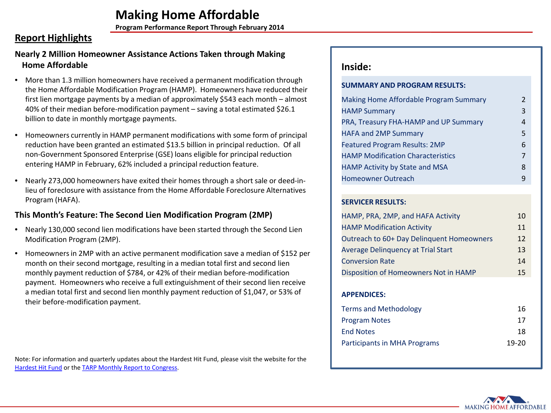**Program Performance Report Through February 2014**

## **Report Highlights**

## **Nearly 2 Million Homeowner Assistance Actions Taken through Making Home Affordable**

- More than 1.3 million homeowners have received a permanent modification through the Home Affordable Modification Program (HAMP). Homeowners have reduced their first lien mortgage payments by a median of approximately \$543 each month – almost 40% of their median before-modification payment – saving a total estimated \$26.1 billion to date in monthly mortgage payments.
- Homeowners currently in HAMP permanent modifications with some form of principal reduction have been granted an estimated \$13.5 billion in principal reduction. Of all non-Government Sponsored Enterprise (GSE) loans eligible for principal reduction entering HAMP in February, 62% included a principal reduction feature.
- Nearly 273,000 homeowners have exited their homes through a short sale or deed-inlieu of foreclosure with assistance from the Home Affordable Foreclosure Alternatives Program (HAFA).

## **This Month's Feature: The Second Lien Modification Program (2MP)**

- Nearly 130,000 second lien modifications have been started through the Second Lien Modification Program (2MP).
- Homeowners in 2MP with an active permanent modification save a median of \$152 per month on their second mortgage, resulting in a median total first and second lien monthly payment reduction of \$784, or 42% of their median before-modification payment. Homeowners who receive a full extinguishment of their second lien receive a median total first and second lien monthly payment reduction of \$1,047, or 53% of their before-modification payment.

Note: For information and quarterly updates about the Hardest Hit Fund, please visit the website for the [Hardest Hit Fund](http://www.treasury.gov/initiatives/financial-stability/TARP-Programs/housing/hhf/Pages/default.aspx) or the [TARP Monthly Report to Congress.](http://www.treasury.gov/initiatives/financial-stability/briefing-room/reports/105/Pages/default.aspx)

## **Inside:**

### **SUMMARY AND PROGRAM RESULTS:**

| Making Home Affordable Program Summary   | 2 |
|------------------------------------------|---|
| <b>HAMP Summary</b>                      | 3 |
| PRA, Treasury FHA-HAMP and UP Summary    | 4 |
| <b>HAFA and 2MP Summary</b>              | 5 |
| <b>Featured Program Results: 2MP</b>     | 6 |
| <b>HAMP Modification Characteristics</b> | 7 |
| HAMP Activity by State and MSA           | 8 |
| <b>Homeowner Outreach</b>                | q |

### **SERVICER RESULTS:**

| HAMP, PRA, 2MP, and HAFA Activity         | 10 |
|-------------------------------------------|----|
| <b>HAMP Modification Activity</b>         | 11 |
| Outreach to 60+ Day Delinquent Homeowners | 12 |
| <b>Average Delinguency at Trial Start</b> | 13 |
| <b>Conversion Rate</b>                    | 14 |
| Disposition of Homeowners Not in HAMP     | 15 |

### **APPENDICES:**

| Terms and Methodology        | 16      |
|------------------------------|---------|
| Program Notes                | 17      |
| <b>End Notes</b>             | 18      |
| Participants in MHA Programs | $19-20$ |
|                              |         |

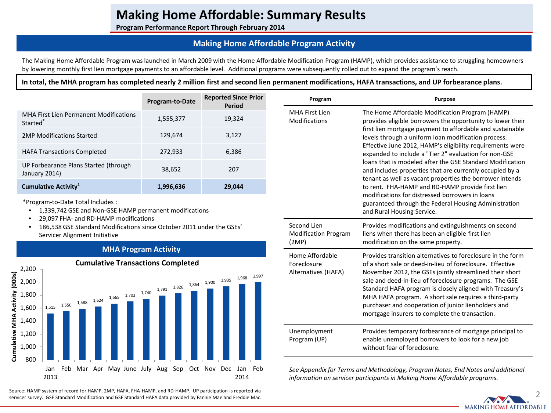**Program Performance Report Through February 2014**

## **Making Home Affordable Program Activity**

The Making Home Affordable Program was launched in March 2009 with the Home Affordable Modification Program (HAMP), which provides assistance to struggling homeowners by lowering monthly first lien mortgage payments to an affordable level. Additional programs were subsequently rolled out to expand the program's reach.

**In total, the MHA program has completed nearly 2 million first and second lien permanent modifications, HAFA transactions, and UP forbearance plans.**

|                                                                | Program-to-Date | <b>Reported Since Prior</b><br><b>Period</b> | Program                                | <b>Purpose</b>                                                                                                                                                                                                                                                                                                                                                                                                                                                                                                                                                                                           |  |
|----------------------------------------------------------------|-----------------|----------------------------------------------|----------------------------------------|----------------------------------------------------------------------------------------------------------------------------------------------------------------------------------------------------------------------------------------------------------------------------------------------------------------------------------------------------------------------------------------------------------------------------------------------------------------------------------------------------------------------------------------------------------------------------------------------------------|--|
| MHA First Lien Permanent Modifications<br>Started <sup>®</sup> | 1,555,377       | 19,324                                       | MHA First Lien<br><b>Modifications</b> | The Home Affordable Modification Program (HAMP)<br>provides eligible borrowers the opportunity to lower the<br>first lien mortgage payment to affordable and sustainabl<br>levels through a uniform loan modification process.<br>Effective June 2012, HAMP's eligibility requirements wer<br>expanded to include a "Tier 2" evaluation for non-GSE                                                                                                                                                                                                                                                      |  |
| 2MP Modifications Started                                      | 129.674         | 3.127                                        |                                        |                                                                                                                                                                                                                                                                                                                                                                                                                                                                                                                                                                                                          |  |
| <b>HAFA Transactions Completed</b>                             | 272.933         | 6,386                                        |                                        |                                                                                                                                                                                                                                                                                                                                                                                                                                                                                                                                                                                                          |  |
| UP Forbearance Plans Started (through<br>January 2014)         | 38.652          | 207                                          |                                        | loans that is modeled after the GSE Standard Modificatio<br>and includes properties that are currently occupied by a<br>tenant as well as vacant properties the borrower intends<br>to rent. FHA-HAMP and RD-HAMP provide first lien<br>$\mathbf{r} \cdot \mathbf{r}$ , and $\mathbf{r} \cdot \mathbf{r}$ , and $\mathbf{r} \cdot \mathbf{r}$ , and $\mathbf{r} \cdot \mathbf{r}$ , and $\mathbf{r} \cdot \mathbf{r}$ , and $\mathbf{r} \cdot \mathbf{r}$ , and $\mathbf{r} \cdot \mathbf{r}$ , and $\mathbf{r} \cdot \mathbf{r}$ , and $\mathbf{r} \cdot \mathbf{r}$ , and $\mathbf{r} \cdot \mathbf{r$ |  |
| Cumulative Activity <sup>1</sup>                               | 1,996,636       | 29,044                                       |                                        |                                                                                                                                                                                                                                                                                                                                                                                                                                                                                                                                                                                                          |  |

\*Program-to-Date Total Includes :

- 1,339,742 GSE and Non-GSE HAMP permanent modifications
- 29,097 FHA- and RD-HAMP modifications
- 186,538 GSE Standard Modifications since October 2011 under the GSEs' Servicer Alignment Initiative

### **MHA Program Activity**



**Cumulative Transactions Completed**

Source: HAMP system of record for HAMP, 2MP, HAFA, FHA-HAMP, and RD-HAMP. UP participation is reported via exported via exponent of the standard of the standard of the standard Mae and Freddie Mac.

| <b>Purpose</b>                                                                                                                                                                                                                                                                                                                                                                                                                                                                                                                                                                                                                                                                                                                             |
|--------------------------------------------------------------------------------------------------------------------------------------------------------------------------------------------------------------------------------------------------------------------------------------------------------------------------------------------------------------------------------------------------------------------------------------------------------------------------------------------------------------------------------------------------------------------------------------------------------------------------------------------------------------------------------------------------------------------------------------------|
| The Home Affordable Modification Program (HAMP)<br>provides eligible borrowers the opportunity to lower their<br>first lien mortgage payment to affordable and sustainable<br>levels through a uniform loan modification process.<br>Effective June 2012, HAMP's eligibility requirements were<br>expanded to include a "Tier 2" evaluation for non-GSE<br>loans that is modeled after the GSE Standard Modification<br>and includes properties that are currently occupied by a<br>tenant as well as vacant properties the borrower intends<br>to rent. FHA-HAMP and RD-HAMP provide first lien<br>modifications for distressed borrowers in loans<br>guaranteed through the Federal Housing Administration<br>and Rural Housing Service. |
| Provides modifications and extinguishments on second<br>liens when there has been an eligible first lien<br>modification on the same property.                                                                                                                                                                                                                                                                                                                                                                                                                                                                                                                                                                                             |
| Provides transition alternatives to foreclosure in the form<br>of a short sale or deed-in-lieu of foreclosure. Effective<br>November 2012, the GSEs jointly streamlined their short<br>sale and deed-in-lieu of foreclosure programs. The GSE<br>Standard HAFA program is closely aligned with Treasury's<br>MHA HAFA program. A short sale requires a third-party<br>purchaser and cooperation of junior lienholders and<br>mortgage insurers to complete the transaction.                                                                                                                                                                                                                                                                |
| Provides temporary forbearance of mortgage principal to<br>enable unemployed borrowers to look for a new job<br>without fear of foreclosure.                                                                                                                                                                                                                                                                                                                                                                                                                                                                                                                                                                                               |
|                                                                                                                                                                                                                                                                                                                                                                                                                                                                                                                                                                                                                                                                                                                                            |

*See Appendix for Terms and Methodology, Program Notes, End Notes and additional information on servicer participants in Making Home Affordable programs.* 

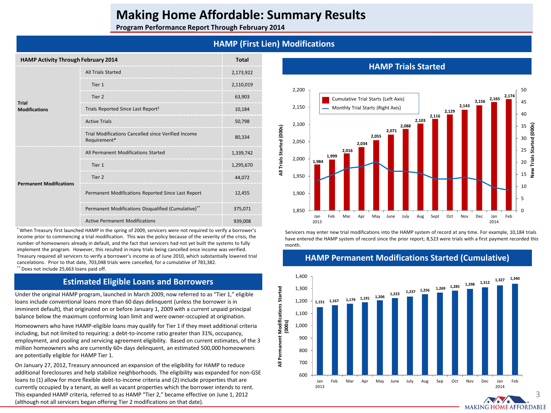**Program Performance Report Through February 2014**

## **HAMP (First Lien) Modifications**

| <b>HAMP Activity Through February 2014</b> |                                                                     | <b>Total</b> |
|--------------------------------------------|---------------------------------------------------------------------|--------------|
| Trial<br><b>Modifications</b>              | <b>All Trials Started</b>                                           | 2,173,922    |
|                                            | Tier 1                                                              | 2,110,019    |
|                                            | Tier 2                                                              | 63,903       |
|                                            | Trials Reported Since Last Report <sup>2</sup>                      | 10,184       |
|                                            | <b>Active Trials</b>                                                | 50,798       |
|                                            | Trial Modifications Cancelled since Verified Income<br>Requirement* | 80,334       |
| <b>Permanent Modifications</b>             | All Permanent Modifications Started                                 | 1,339,742    |
|                                            | Tier 1                                                              | 1,295,670    |
|                                            | Tier 2                                                              | 44.072       |
|                                            | Permanent Modifications Reported Since Last Report                  | 12,455       |
|                                            | Permanent Modifications Disqualified (Cumulative)**                 | 375,071      |
|                                            | <b>Active Permanent Modifications</b>                               | 939,008      |

\* When Treasury first launched HAMP in the spring of 2009, servicers were not required to verify a borrower's income prior to commencing a trial modification. This was the policy because of the severity of the crisis, the number of homeowners already in default, and the fact that servicers had not yet built the systems to fully implement the program. However, this resulted in many trials being cancelled once income was verified. Treasury required all servicers to verify a borrower's income as of June 2010, which substantially lowered trial cancelations. Prior to that date, 703,048 trials were cancelled, for a cumulative of 783,382. \* \* Does not include 25.663 loans paid off.

### **Estimated Eligible Loans and Borrowers**

Under the original HAMP program, launched in March 2009, now referred to as "Tier 1," eligible loans include conventional loans more than 60 days delinquent (unless the borrower is in imminent default), that originated on or before January 1, 2009 with a current unpaid principal balance below the maximum conforming loan limit and were owner-occupied at origination.

Homeowners who have HAMP-eligible loans may qualify for Tier 1 if they meet additional criteria including, but not limited to requiring: a debt-to-income ratio greater than 31%, occupancy, employment, and pooling and servicing agreement eligibility. Based on current estimates, of the 3 million homeowners who are currently 60+ days delinquent, an estimated 500,000 homeowners are potentially eligible for HAMP Tier 1.

On January 27, 2012, Treasury announced an expansion of the eligibility for HAMP to reduce additional foreclosures and help stabilize neighborhoods. The eligibility was expanded for non-GSE loans to (1) allow for more flexible debt-to-income criteria and (2) include properties that are currently occupied by a tenant, as well as vacant properties which the borrower intends to rent. This expanded HAMP criteria, referred to as HAMP "Tier 2," became effective on June 1, 2012 (although not all servicers began offering Tier 2 modifications on that date).



Servicers may enter new trial modifications into the HAMP system of record at any time. For example, 10,184 trials have entered the HAMP system of record since the prior report; 8,523 were trials with a first payment recorded this month.



### **HAMP Permanent Modifications Started (Cumulative)**

### **HAMP Trials Started**

3

**MAKING HOME AFFORDABLE**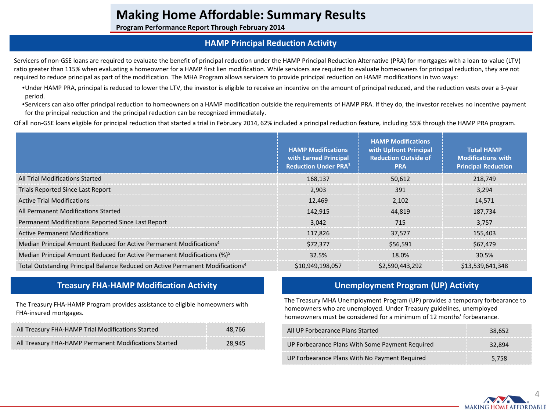**Program Performance Report Through February 2014**

### **HAMP Principal Reduction Activity**

Servicers of non-GSE loans are required to evaluate the benefit of principal reduction under the HAMP Principal Reduction Alternative (PRA) for mortgages with a loan-to-value (LTV) ratio greater than 115% when evaluating a homeowner for a HAMP first lien modification. While servicers are required to evaluate homeowners for principal reduction, they are not required to reduce principal as part of the modification. The MHA Program allows servicers to provide principal reduction on HAMP modifications in two ways:

•Under HAMP PRA, principal is reduced to lower the LTV, the investor is eligible to receive an incentive on the amount of principal reduced, and the reduction vests over a 3-year period.

•Servicers can also offer principal reduction to homeowners on a HAMP modification outside the requirements of HAMP PRA. If they do, the investor receives no incentive payment for the principal reduction and the principal reduction can be recognized immediately.

Of all non-GSE loans eligible for principal reduction that started a trial in February 2014, 62% included a principal reduction feature, including 55% through the HAMP PRA program.

|                                                                                            | <b>HAMP Modifications</b><br>with Earned Principal<br><b>Reduction Under PRA3</b> | <b>HAMP Modifications</b><br>with Upfront Principal<br><b>Reduction Outside of</b><br><b>PRA</b> | <b>Total HAMP</b><br><b>Modifications with</b><br><b>Principal Reduction</b> |
|--------------------------------------------------------------------------------------------|-----------------------------------------------------------------------------------|--------------------------------------------------------------------------------------------------|------------------------------------------------------------------------------|
| All Trial Modifications Started                                                            | 168,137                                                                           | 50,612                                                                                           | 218.749                                                                      |
| Trials Reported Since Last Report                                                          | 2,903                                                                             | 391                                                                                              | 3,294                                                                        |
| <b>Active Trial Modifications</b>                                                          | 12,469                                                                            | 2,102                                                                                            | 14,571                                                                       |
| All Permanent Modifications Started                                                        | 142,915                                                                           | 44.819                                                                                           | 187.734                                                                      |
| Permanent Modifications Reported Since Last Report                                         | 3.042                                                                             | 715                                                                                              | 3.757                                                                        |
| <b>Active Permanent Modifications</b>                                                      | 117,826                                                                           | 37.577                                                                                           | 155,403                                                                      |
| Median Principal Amount Reduced for Active Permanent Modifications <sup>4</sup>            | \$72.377                                                                          | \$56.591                                                                                         | \$67.479                                                                     |
| Median Principal Amount Reduced for Active Permanent Modifications (%) <sup>5</sup>        | 32.5%                                                                             | 18.0%                                                                                            | 30.5%                                                                        |
| Total Outstanding Principal Balance Reduced on Active Permanent Modifications <sup>4</sup> | \$10,949,198,057                                                                  | \$2,590,443,292                                                                                  | \$13,539,641,348                                                             |

## **Treasury FHA-HAMP Modification Activity**

The Treasury FHA-HAMP Program provides assistance to eligible homeowners with FHA-insured mortgages.

| All Treasury FHA-HAMP Trial Modifications Started     | 48.766 |
|-------------------------------------------------------|--------|
| All Treasury FHA-HAMP Permanent Modifications Started | 28.945 |

## **Unemployment Program (UP) Activity**

The Treasury MHA Unemployment Program (UP) provides a temporary forbearance to homeowners who are unemployed. Under Treasury guidelines, unemployed homeowners must be considered for a minimum of 12 months' forbearance.

| All UP Forbearance Plans Started                | 38.652 |
|-------------------------------------------------|--------|
| UP Forbearance Plans With Some Payment Required | 32.894 |
| UP Forbearance Plans With No Payment Required   | 5.758  |

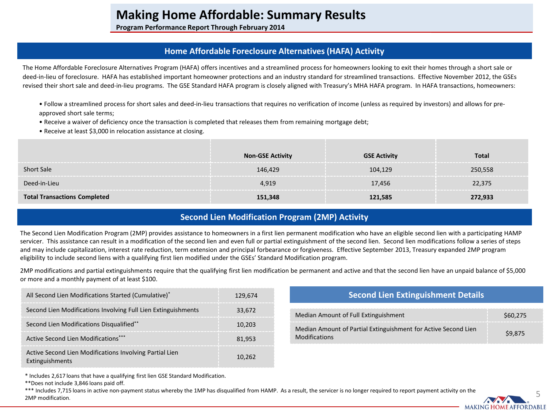**Program Performance Report Through February 2014**

## **Home Affordable Foreclosure Alternatives (HAFA) Activity**

The Home Affordable Foreclosure Alternatives Program (HAFA) offers incentives and a streamlined process for homeowners looking to exit their homes through a short sale or deed-in-lieu of foreclosure. HAFA has established important homeowner protections and an industry standard for streamlined transactions. Effective November 2012, the GSEs revised their short sale and deed-in-lieu programs. The GSE Standard HAFA program is closely aligned with Treasury's MHA HAFA program. In HAFA transactions, homeowners:

- Follow a streamlined process for short sales and deed-in-lieu transactions that requires no verification of income (unless as required by investors) and allows for preapproved short sale terms;
- Receive a waiver of deficiency once the transaction is completed that releases them from remaining mortgage debt;
- Receive at least \$3,000 in relocation assistance at closing.

|                               | <b>Non-GSE Activity</b> | <b>GSE Activity</b> | Total   |
|-------------------------------|-------------------------|---------------------|---------|
| <b>Short Sale</b>             | 146.429                 | 104,129             | 250,558 |
| Deed-in-Lieu                  | 4.919                   | 17.456              | 22.375  |
| <b>Transactions Completed</b> | 151.348                 | 121.585             | 272.933 |

## **Second Lien Modification Program (2MP) Activity**

The Second Lien Modification Program (2MP) provides assistance to homeowners in a first lien permanent modification who have an eligible second lien with a participating HAMP servicer. This assistance can result in a modification of the second lien and even full or partial extinguishment of the second lien. Second lien modifications follow a series of steps and may include capitalization, interest rate reduction, term extension and principal forbearance or forgiveness. Effective September 2013, Treasury expanded 2MP program eligibility to include second liens with a qualifying first lien modified under the GSEs' Standard Modification program.

2MP modifications and partial extinguishments require that the qualifying first lien modification be permanent and active and that the second lien have an unpaid balance of \$5,000 or more and a monthly payment of at least \$100.

| All Second Lien Modifications Started (Cumulative) <sup>*</sup><br>129.674 |        | <b>Second Lien Extinguishment Details</b>                      |         |  |
|----------------------------------------------------------------------------|--------|----------------------------------------------------------------|---------|--|
| Second Lien Modifications Involving Full Lien Extinguishments              | 33.672 | Median Amount of Full Extinguishment                           | 560.275 |  |
| Second Lien Modifications Disqualified**                                   | 10.203 | Median Amount of Partial Extinguishment for Active Second Lien | \$9.875 |  |
| Active Second Lien Modifications***                                        | 81.953 | <b>Modifications</b>                                           |         |  |
| Active Second Lien Modifications Involving Partial Lien<br>Extinguishments | 10.262 |                                                                |         |  |

\* Includes 2,617 loans that have a qualifying first lien GSE Standard Modification.

\*\*Does not include 3,846 loans paid off.

\*\*\* Includes 7,715 loans in active non-payment status whereby the 1MP has disqualified from HAMP. As a result, the servicer is no longer required to report payment activity on the 2MP modification.

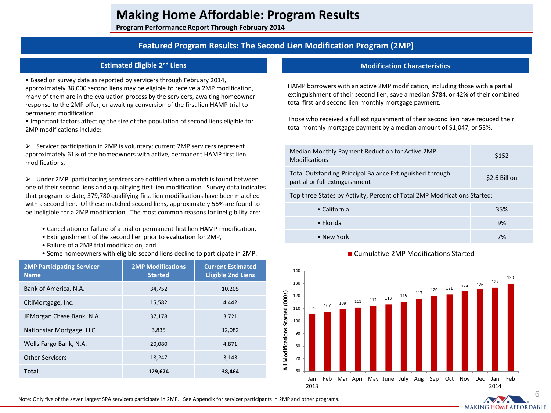**Program Performance Report Through February 2014**

### **Featured Program Results: The Second Lien Modification Program (2MP)**

#### **Estimated Eligible 2nd Liens**

• Based on survey data as reported by servicers through February 2014, approximately 38,000 second liens may be eligible to receive a 2MP modification, many of them are in the evaluation process by the servicers, awaiting homeowner response to the 2MP offer, or awaiting conversion of the first lien HAMP trial to permanent modification.

• Important factors affecting the size of the population of second liens eligible for 2MP modifications include:

 $\triangleright$  Servicer participation in 2MP is voluntary; current 2MP servicers represent approximately 61% of the homeowners with active, permanent HAMP first lien modifications.

 $\triangleright$  Under 2MP, participating servicers are notified when a match is found between one of their second liens and a qualifying first lien modification. Survey data indicates that program to date, 379,780 qualifying first lien modifications have been matched with a second lien. Of these matched second liens, approximately 56% are found to be ineligible for a 2MP modification. The most common reasons for ineligibility are:

- Cancellation or failure of a trial or permanent first lien HAMP modification,
- Extinguishment of the second lien prior to evaluation for 2MP,
- Failure of a 2MP trial modification, and
- Some homeowners with eligible second liens decline to participate in 2MP.

| <b>2MP Participating Servicer</b><br><b>Name</b> | <b>2MP Modifications</b><br><b>Started</b> | <b>Current Estimated</b><br><b>Eligible 2nd Liens</b> |
|--------------------------------------------------|--------------------------------------------|-------------------------------------------------------|
| Bank of America, N.A.                            | 34,752                                     | 10,205                                                |
| CitiMortgage, Inc.                               | 15,582                                     | 4.442                                                 |
| JPMorgan Chase Bank, N.A.                        | 37,178                                     | 3,721                                                 |
| Nationstar Mortgage, LLC                         | 3,835                                      | 12,082                                                |
| Wells Fargo Bank, N.A.                           | 20,080                                     | 4,871                                                 |
| <b>Other Servicers</b>                           | 18,247                                     | 3.143                                                 |
| <b>Total</b>                                     | 129,674                                    | 38,464                                                |

#### **Modification Characteristics**

HAMP borrowers with an active 2MP modification, including those with a partial extinguishment of their second lien, save a median \$784, or 42% of their combined total first and second lien monthly mortgage payment.

Those who received a full extinguishment of their second lien have reduced their total monthly mortgage payment by a median amount of \$1,047, or 53%.

| Median Monthly Payment Reduction for Active 2MP<br><b>Modifications</b>                    | \$152         |
|--------------------------------------------------------------------------------------------|---------------|
| Total Outstanding Principal Balance Extinguished through<br>partial or full extinguishment | \$2.6 Billion |
|                                                                                            |               |

Top three States by Activity, Percent of Total 2MP Modifications Started:

| • California | 35% |
|--------------|-----|
| • Florida    | 9%  |
| • New York   | 7%  |





Note: Only five of the seven largest SPA servicers participate in 2MP. See Appendix for servicer participants in 2MP and other programs.

6

**MAKING HOME AFFORDABLE**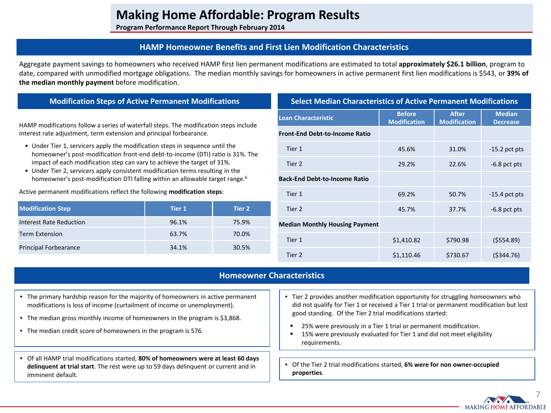**Program Performance Report Through February 2014**

### **HAMP Homeowner Benefits and First Lien Modification Characteristics**

Aggregate payment savings to homeowners who received HAMP first lien permanent modifications are estimated to total **approximately \$26.1 billion**, program to date, compared with unmodified mortgage obligations. The median monthly savings for homeowners in active permanent first lien modifications is \$543, or **39% of the median monthly payment** before modification.

### **Modification Steps of Active Permanent Modifications**

HAMP modifications follow a series of waterfall steps. The modification steps include interest rate adjustment, term extension and principal forbearance.

- Under Tier 1, servicers apply the modification steps in sequence until the homeowner's post-modification front-end debt-to-income (DTI) ratio is 31%. The impact of each modification step can vary to achieve the target of 31%.
- Under Tier 2, servicers apply consistent modification terms resulting in the homeowner's post-modification DTI falling within an allowable target range.<sup>6</sup>

Active permanent modifications reflect the following **modification steps**:

| <b>Modification Step</b>     | Tier 1 | Tier 2 |
|------------------------------|--------|--------|
| Interest Rate Reduction      | 96.1%  | 75.9%  |
| <b>Term Extension</b>        | 63.7%  | 70.0%  |
| <b>Principal Forbearance</b> | 34.1%  | 30.5%  |

| <b>Select Median Characteristics of Active Permanent Modifications</b> |                                      |                                     |                                  |  |  |  |  |
|------------------------------------------------------------------------|--------------------------------------|-------------------------------------|----------------------------------|--|--|--|--|
| <b>Loan Characteristic</b>                                             | <b>Before</b><br><b>Modification</b> | <b>After</b><br><b>Modification</b> | <b>Median</b><br><b>Decrease</b> |  |  |  |  |
| <b>Front-End Debt-to-Income Ratio</b>                                  |                                      |                                     |                                  |  |  |  |  |
| Tier 1                                                                 | 45.6%                                | 31.0%                               | $-15.2$ pct pts                  |  |  |  |  |
| Tier 2                                                                 | 29.2%                                | 22.6%                               | $-6.8$ pct pts                   |  |  |  |  |
| <b>Back-End Debt-to-Income Ratio</b>                                   |                                      |                                     |                                  |  |  |  |  |
| Tier 1                                                                 | 69.2%                                | 50.7%                               | $-15.4$ pct pts                  |  |  |  |  |
| Tier 2                                                                 | 45.7%                                | 37.7%                               | $-6.8$ pct pts                   |  |  |  |  |
| <b>Median Monthly Housing Payment</b>                                  |                                      |                                     |                                  |  |  |  |  |
| Tier 1                                                                 | \$1,410.82                           | \$790.98                            | (5554.89)                        |  |  |  |  |
| Tier 2                                                                 | \$1,110.46                           | \$730.67                            | (5344.76)                        |  |  |  |  |

### **Homeowner Characteristics**

- The primary hardship reason for the majority of homeowners in active permanent modifications is loss of income (curtailment of income or unemployment).
- The median gross monthly income of homeowners in the program is \$3,868.
- The median credit score of homeowners in the program is 576.
- Of all HAMP trial modifications started, **80% of homeowners were at least 60 days delinquent at trial start**. The rest were up to 59 days delinquent or current and in imminent default.
- Tier 2 provides another modification opportunity for struggling homeowners who did not qualify for Tier 1 or received a Tier 1 trial or permanent modification but lost good standing. Of the Tier 2 trial modifications started:
- 25% were previously in a Tier 1 trial or permanent modification.
- 15% were previously evaluated for Tier 1 and did not meet eligibility requirements.
- Of the Tier 2 trial modifications started, **6% were for non owner-occupied properties**.

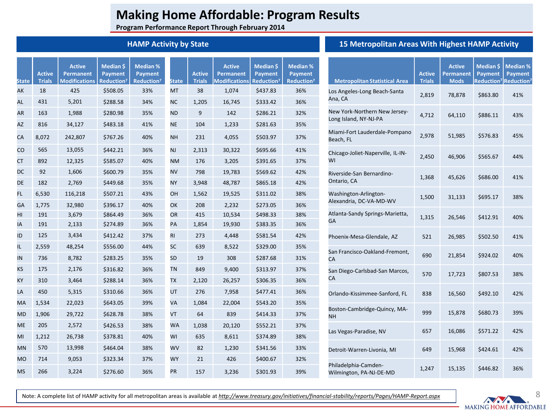**Program Performance Report Through February 2014**

### **HAMP Activity by State**

| State     | <b>Active</b><br><b>Trials</b> | <b>Active</b><br><b>Permanent</b><br><b>Modifications</b> | Median \$<br><b>Payment</b><br>Reduction <sup>7</sup> | Median %<br><b>Payment</b><br>Reduction <sup>7</sup> | <b>State</b> | <b>Active</b><br><b>Trials</b> | <b>Active</b><br><b>Permanent</b><br><b>Modifications</b> | Median \$<br><b>Payment</b><br>Reduction <sup>7</sup> | <b>Median %</b><br>Payment<br>Reduction <sup>7</sup> |
|-----------|--------------------------------|-----------------------------------------------------------|-------------------------------------------------------|------------------------------------------------------|--------------|--------------------------------|-----------------------------------------------------------|-------------------------------------------------------|------------------------------------------------------|
| АK        | 18                             | 425                                                       | \$508.05                                              | 33%                                                  | <b>MT</b>    | 38                             | 1,074                                                     | \$437.83                                              | 36%                                                  |
| AL        | 431                            | 5,201                                                     | \$288.58                                              | 34%                                                  | <b>NC</b>    | 1,205                          | 16,745                                                    | \$333.42                                              | 36%                                                  |
| AR        | 163                            | 1,988                                                     | \$280.98                                              | 35%                                                  | <b>ND</b>    | 9                              | 142                                                       | \$286.21                                              | 32%                                                  |
| AZ        | 816                            | 34,127                                                    | \$483.18                                              | 41%                                                  | <b>NE</b>    | 104                            | 1,233                                                     | \$281.63                                              | 35%                                                  |
| CA        | 8,072                          | 242,807                                                   | \$767.26                                              | 40%                                                  | <b>NH</b>    | 231                            | 4,055                                                     | \$503.97                                              | 37%                                                  |
| CO        | 565                            | 13,055                                                    | \$442.21                                              | 36%                                                  | <b>NJ</b>    | 2,313                          | 30,322                                                    | \$695.66                                              | 41%                                                  |
| СT        | 892                            | 12,325                                                    | \$585.07                                              | 40%                                                  | <b>NM</b>    | 176                            | 3,205                                                     | \$391.65                                              | 37%                                                  |
| DC        | 92                             | 1,606                                                     | \$600.79                                              | 35%                                                  | <b>NV</b>    | 798                            | 19,783                                                    | \$569.62                                              | 42%                                                  |
| DE        | 182                            | 2,769                                                     | \$449.68                                              | 35%                                                  | <b>NY</b>    | 3,948                          | 48,787                                                    | \$865.18                                              | 42%                                                  |
| FL.       | 6,530                          | 116,218                                                   | \$507.21                                              | 43%                                                  | OH           | 1,562                          | 19,525                                                    | \$311.02                                              | 38%                                                  |
| GA        | 1,775                          | 32,980                                                    | \$396.17                                              | 40%                                                  | OK           | 208                            | 2,232                                                     | \$273.05                                              | 36%                                                  |
| HI        | 191                            | 3,679                                                     | \$864.49                                              | 36%                                                  | OR           | 415                            | 10,534                                                    | \$498.33                                              | 38%                                                  |
| ΙA        | 191                            | 2,133                                                     | \$274.89                                              | 36%                                                  | PA           | 1,854                          | 19,930                                                    | \$383.35                                              | 36%                                                  |
| ID        | 125                            | 3,434                                                     | \$412.42                                              | 37%                                                  | <b>RI</b>    | 273                            | 4,448                                                     | \$581.54                                              | 42%                                                  |
| IL        | 2,559                          | 48,254                                                    | \$556.00                                              | 44%                                                  | SC           | 639                            | 8,522                                                     | \$329.00                                              | 35%                                                  |
| IN        | 736                            | 8,782                                                     | \$283.25                                              | 35%                                                  | <b>SD</b>    | 19                             | 308                                                       | \$287.68                                              | 31%                                                  |
| KS        | 175                            | 2,176                                                     | \$316.82                                              | 36%                                                  | <b>TN</b>    | 849                            | 9,400                                                     | \$313.97                                              | 37%                                                  |
| ΚY        | 310                            | 3,464                                                     | \$288.14                                              | 36%                                                  | ТX           | 2,120                          | 26,257                                                    | \$306.35                                              | 36%                                                  |
| LA        | 450                            | 5,315                                                     | \$310.66                                              | 36%                                                  | UT           | 276                            | 7,958                                                     | \$477.41                                              | 36%                                                  |
| МA        | 1,534                          | 22,023                                                    | \$643.05                                              | 39%                                                  | VA           | 1,084                          | 22,004                                                    | \$543.20                                              | 35%                                                  |
| <b>MD</b> | 1,906                          | 29,722                                                    | \$628.78                                              | 38%                                                  | VT           | 64                             | 839                                                       | \$414.33                                              | 37%                                                  |
| <b>ME</b> | 205                            | 2,572                                                     | \$426.53                                              | 38%                                                  | <b>WA</b>    | 1,038                          | 20,120                                                    | \$552.21                                              | 37%                                                  |
| MI        | 1,212                          | 26,738                                                    | \$378.81                                              | 40%                                                  | WI           | 635                            | 8,611                                                     | \$374.89                                              | 38%                                                  |
| MN        | 570                            | 13,998                                                    | \$464.04                                              | 38%                                                  | WV           | 82                             | 1,230                                                     | \$341.56                                              | 33%                                                  |
| <b>MO</b> | 714                            | 9,053                                                     | \$323.34                                              | 37%                                                  | <b>WY</b>    | 21                             | 426                                                       | \$400.67                                              | 32%                                                  |
| <b>MS</b> | 266                            | 3,224                                                     | \$276.60                                              | 36%                                                  | PR           | 157                            | 3,236                                                     | \$301.93                                              | 39%                                                  |

## **15 Metropolitan Areas With Highest HAMP Activity**

| <b>Metropolitan Statistical Area</b>                   | <b>Active</b><br><b>Trials</b> | <b>Active</b><br><b>Permanent</b><br><b>Mods</b> | Median \$<br><b>Payment</b> | <b>Median %</b><br><b>Payment</b><br>Reduction <sup>7</sup> Reduction <sup>7</sup> |
|--------------------------------------------------------|--------------------------------|--------------------------------------------------|-----------------------------|------------------------------------------------------------------------------------|
| Los Angeles-Long Beach-Santa<br>Ana, CA                | 2,819                          | 78,878                                           | \$863.80                    | 41%                                                                                |
| New York-Northern New Jersey-<br>Long Island, NY-NJ-PA | 4,712                          | 64,110                                           | \$886.11                    | 43%                                                                                |
| Miami-Fort Lauderdale-Pompano<br>Beach, FL             | 2,978                          | 51,985                                           | \$576.83                    | 45%                                                                                |
| Chicago-Joliet-Naperville, IL-IN-<br>WI                | 2,450                          | 46,906                                           | \$565.67                    | 44%                                                                                |
| Riverside-San Bernardino-<br>Ontario, CA               | 1,368                          | 45,626                                           | \$686.00                    | 41%                                                                                |
| Washington-Arlington-<br>Alexandria, DC-VA-MD-WV       | 1,500                          | 31,133                                           | \$695.17                    | 38%                                                                                |
| Atlanta-Sandy Springs-Marietta,<br>GA                  | 1,315                          | 26,546                                           | \$412.91                    | 40%                                                                                |
| Phoenix-Mesa-Glendale, AZ                              | 521                            | 26,985                                           | \$502.50                    | 41%                                                                                |
| San Francisco-Oakland-Fremont,<br>CA                   | 690                            | 21,854                                           | \$924.02                    | 40%                                                                                |
| San Diego-Carlsbad-San Marcos,<br>CA                   | 570                            | 17,723                                           | \$807.53                    | 38%                                                                                |
| Orlando-Kissimmee-Sanford, FL                          | 838                            | 16,560                                           | \$492.10                    | 42%                                                                                |
| Boston-Cambridge-Quincy, MA-<br><b>NH</b>              | 999                            | 15,878                                           | \$680.73                    | 39%                                                                                |
| Las Vegas-Paradise, NV                                 | 657                            | 16,086                                           | \$571.22                    | 42%                                                                                |
| Detroit-Warren-Livonia, MI                             | 649                            | 15,968                                           | \$424.61                    | 42%                                                                                |
| Philadelphia-Camden-<br>Wilmington, PA-NJ-DE-MD        | 1,247                          | 15,135                                           | \$446.82                    | 36%                                                                                |

Note: A complete list of HAMP activity for all metropolitan areas is available at *http://www.treasury.gov/initiatives/financial-stability/reports/Pages/HAMP-Report.aspx*

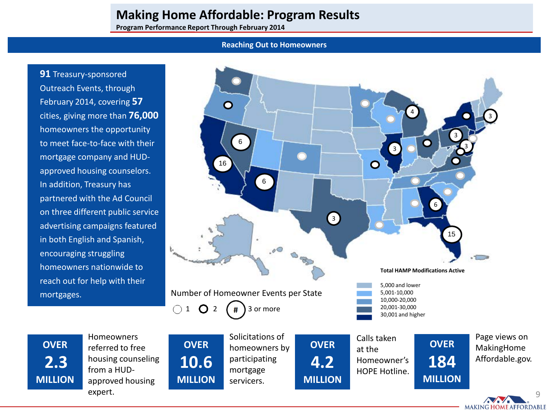**Program Performance Report Through February 2014**

#### **Reaching Out to Homeowners**

**91** Treasury-sponsored Outreach Events, through February 2014, covering **57** cities, giving more than **76,000** homeowners the opportunity to meet face-to-face with their mortgage company and HUDapproved housing counselors. In addition, Treasury has partnered with the Ad Council on three different public service advertising campaigns featured in both English and Spanish, encouraging struggling homeowners nationwide to reach out for help with their mortgages.



**OVER 2.3 MILLION** Homeowners referred to free housing counseling from a HUDapproved housing expert.

**MILLION** mortgage servicers. **MILLION**

HOPE Hotline.

**MILLION**

Page views on MakingHome Affordable.gov.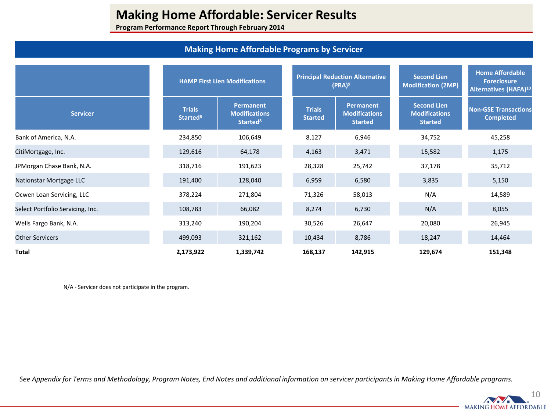**Program Performance Report Through February 2014**

## **Making Home Affordable Programs by Servicer**

|                                  |                                       | <b>HAMP First Lien Modifications</b>                      |                                 | <b>Principal Reduction Alternative</b><br>$(PRA)^9$ | <b>Second Lien</b><br><b>Modification (2MP)</b>              | <b>Home Affordable</b><br><b>Foreclosure</b><br>Alternatives (HAFA) <sup>10</sup> |  |
|----------------------------------|---------------------------------------|-----------------------------------------------------------|---------------------------------|-----------------------------------------------------|--------------------------------------------------------------|-----------------------------------------------------------------------------------|--|
| <b>Servicer</b>                  | <b>Trials</b><br>Started <sup>8</sup> | Permanent<br><b>Modifications</b><br>Started <sup>8</sup> | <b>Trials</b><br><b>Started</b> | Permanent<br><b>Modifications</b><br><b>Started</b> | <b>Second Lien</b><br><b>Modifications</b><br><b>Started</b> | <b>Non-GSE Transactions</b><br><b>Completed</b>                                   |  |
| Bank of America, N.A.            | 234,850                               | 106,649                                                   | 8,127                           | 6,946                                               | 34,752                                                       | 45,258                                                                            |  |
| CitiMortgage, Inc.               | 129,616                               | 64,178                                                    | 4,163                           | 3,471                                               | 15,582                                                       | 1,175                                                                             |  |
| JPMorgan Chase Bank, N.A.        | 318,716                               | 191,623                                                   | 28,328                          | 25,742                                              | 37,178                                                       | 35,712                                                                            |  |
| Nationstar Mortgage LLC          | 191,400                               | 128,040                                                   | 6,959                           | 6,580                                               | 3,835                                                        | 5,150                                                                             |  |
| Ocwen Loan Servicing, LLC        | 378,224                               | 271,804                                                   | 71,326                          | 58,013                                              | N/A                                                          | 14,589                                                                            |  |
| Select Portfolio Servicing, Inc. | 108,783                               | 66,082                                                    | 8,274                           | 6,730                                               | N/A                                                          | 8,055                                                                             |  |
| Wells Fargo Bank, N.A.           | 313,240                               | 190,204                                                   | 30,526                          | 26,647                                              | 20,080                                                       | 26,945                                                                            |  |
| <b>Other Servicers</b>           | 499,093                               | 321,162                                                   | 10,434                          | 8,786                                               | 18,247                                                       | 14,464                                                                            |  |
| Total                            | 2,173,922                             | 1,339,742                                                 | 168,137                         | 142,915                                             | 129,674                                                      | 151,348                                                                           |  |

N/A - Servicer does not participate in the program.

*See Appendix for Terms and Methodology, Program Notes, End Notes and additional information on servicer participants in Making Home Affordable programs.* 

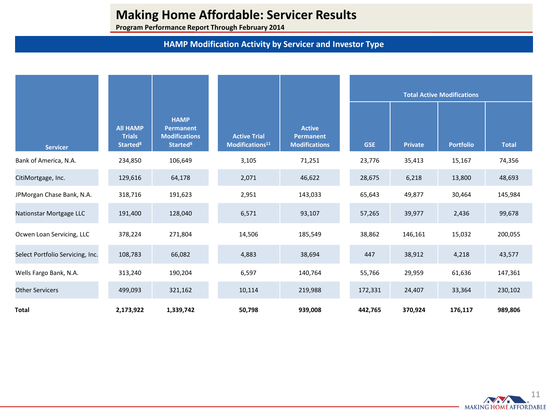**Program Performance Report Through February 2014**

## **HAMP Modification Activity by Servicer and Investor Type**

|                                  |                                                                |                                                                                       |                                                    |                                                           |  |            |                | <b>Total Active Modifications</b> |              |
|----------------------------------|----------------------------------------------------------------|---------------------------------------------------------------------------------------|----------------------------------------------------|-----------------------------------------------------------|--|------------|----------------|-----------------------------------|--------------|
| <b>Servicer</b>                  | <b>All HAMP</b><br><b>Trials</b><br><b>Started<sup>8</sup></b> | <b>HAMP</b><br><b>Permanent</b><br><b>Modifications</b><br><b>Started<sup>8</sup></b> | <b>Active Trial</b><br>Modifications <sup>11</sup> | <b>Active</b><br><b>Permanent</b><br><b>Modifications</b> |  | <b>GSE</b> | <b>Private</b> | <b>Portfolio</b>                  | <b>Total</b> |
| Bank of America, N.A.            | 234,850                                                        | 106,649                                                                               | 3,105                                              | 71,251                                                    |  | 23,776     | 35,413         | 15,167                            | 74,356       |
| CitiMortgage, Inc.               | 129,616                                                        | 64,178                                                                                | 2,071                                              | 46,622                                                    |  | 28,675     | 6,218          | 13,800                            | 48,693       |
| JPMorgan Chase Bank, N.A.        | 318,716                                                        | 191,623                                                                               | 2,951                                              | 143,033                                                   |  | 65,643     | 49,877         | 30,464                            | 145,984      |
| Nationstar Mortgage LLC          | 191,400                                                        | 128,040                                                                               | 6,571                                              | 93,107                                                    |  | 57,265     | 39,977         | 2,436                             | 99,678       |
| Ocwen Loan Servicing, LLC        | 378,224                                                        | 271,804                                                                               | 14,506                                             | 185,549                                                   |  | 38,862     | 146,161        | 15,032                            | 200,055      |
| Select Portfolio Servicing, Inc. | 108,783                                                        | 66,082                                                                                | 4,883                                              | 38,694                                                    |  | 447        | 38,912         | 4,218                             | 43,577       |
| Wells Fargo Bank, N.A.           | 313,240                                                        | 190,204                                                                               | 6,597                                              | 140,764                                                   |  | 55,766     | 29,959         | 61,636                            | 147,361      |
| <b>Other Servicers</b>           | 499,093                                                        | 321,162                                                                               | 10,114                                             | 219,988                                                   |  | 172,331    | 24,407         | 33,364                            | 230,102      |
| <b>Total</b>                     | 2,173,922                                                      | 1,339,742                                                                             | 50,798                                             | 939,008                                                   |  | 442,765    | 370,924        | 176,117                           | 989,806      |

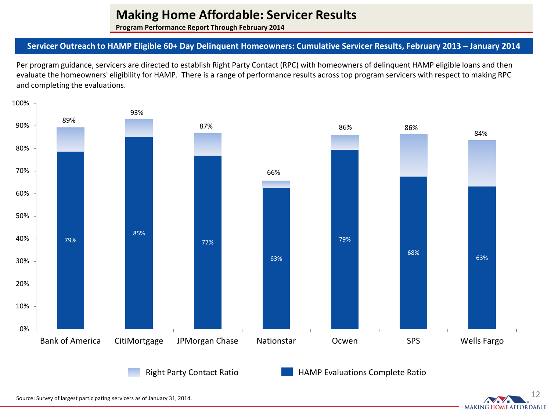**Program Performance Report Through February 2014**

## **Servicer Outreach to HAMP Eligible 60+ Day Delinquent Homeowners: Cumulative Servicer Results, February 2013 – January 2014**

Per program guidance, servicers are directed to establish Right Party Contact (RPC) with homeowners of delinquent HAMP eligible loans and then evaluate the homeowners' eligibility for HAMP. There is a range of performance results across top program servicers with respect to making RPC and completing the evaluations.



12

**MAKING HOME AFFORDABLE** 

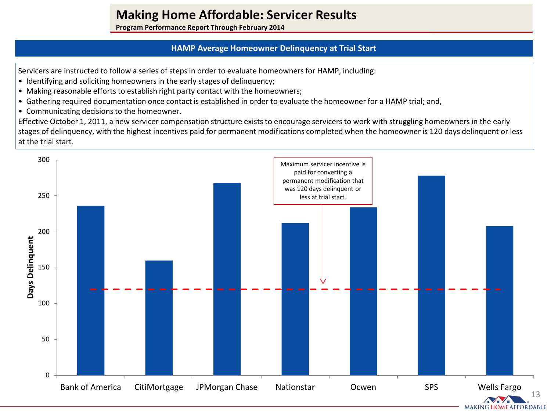**Program Performance Report Through February 2014**

## **HAMP Average Homeowner Delinquency at Trial Start**

Servicers are instructed to follow a series of steps in order to evaluate homeowners for HAMP, including:

- Identifying and soliciting homeowners in the early stages of delinquency;
- Making reasonable efforts to establish right party contact with the homeowners;
- Gathering required documentation once contact is established in order to evaluate the homeowner for a HAMP trial; and,
- Communicating decisions to the homeowner.

Effective October 1, 2011, a new servicer compensation structure exists to encourage servicers to work with struggling homeowners in the early stages of delinquency, with the highest incentives paid for permanent modifications completed when the homeowner is 120 days delinquent or less at the trial start.

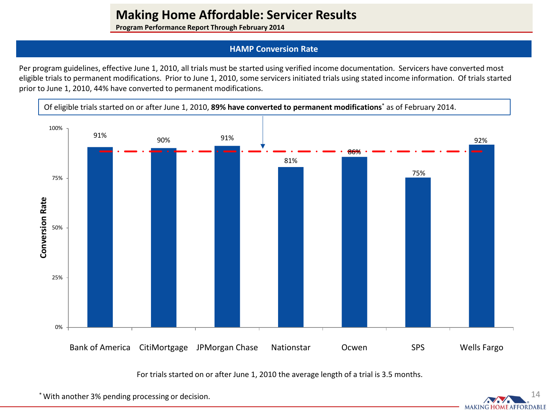**Program Performance Report Through February 2014**

## **HAMP Conversion Rate**

Per program guidelines, effective June 1, 2010, all trials must be started using verified income documentation. Servicers have converted most eligible trials to permanent modifications. Prior to June 1, 2010, some servicers initiated trials using stated income information. Of trials started prior to June 1, 2010, 44% have converted to permanent modifications.



For trials started on or after June 1, 2010 the average length of a trial is 3.5 months.

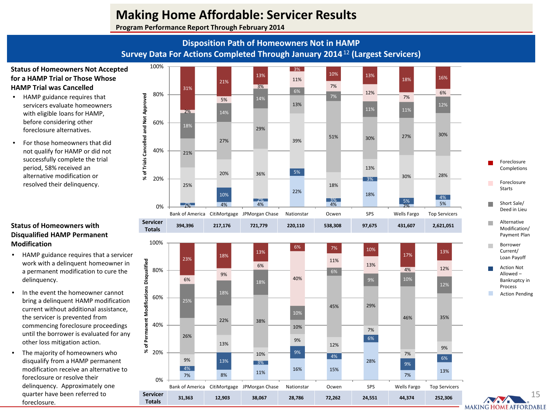**Program Performance Report Through February 2014**

## **Disposition Path of Homeowners Not in HAMP Survey Data For Actions Completed Through January 2014**<sup>12</sup> **(Largest Servicers)**

### **Status of Homeowners Not Accepted for a HAMP Trial or Those Whose HAMP Trial was Cancelled**

- HAMP guidance requires that servicers evaluate homeowners with eligible loans for HAMP, before considering other foreclosure alternatives.
- For those homeowners that did not qualify for HAMP or did not successfully complete the trial period, 58% received an alternative modification or resolved their delinquency.

### **Status of Homeowners with Disqualified HAMP Permanent Modification**

- HAMP guidance requires that a servicer work with a delinquent homeowner in a permanent modification to cure the delinquency.
- In the event the homeowner cannot bring a delinquent HAMP modification current without additional assistance, the servicer is prevented from commencing foreclosure proceedings until the borrower is evaluated for any other loss mitigation action.
- The majority of homeowners who disqualify from a HAMP permanent modification receive an alternative to foreclosure or resolve their delinquency. Approximately one quarter have been referred to foreclosure.

**Servicer** 



**Totals 31,363 12,903 38,067 28,786 72,262 24,551 44,374 252,306**

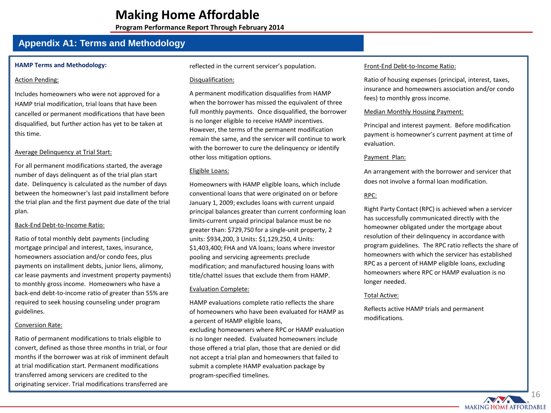**Program Performance Report Through February 2014**

## **Appendix A1: Terms and Methodology**

#### **HAMP Terms and Methodology:**

#### Action Pending:

Includes homeowners who were not approved for a HAMP trial modification, trial loans that have been cancelled or permanent modifications that have been disqualified, but further action has yet to be taken at this time.

#### Average Delinquency at Trial Start:

For all permanent modifications started, the average number of days delinquent as of the trial plan start date. Delinquency is calculated as the number of days between the homeowner's last paid installment before the trial plan and the first payment due date of the trial plan.

#### Back-End Debt-to-Income Ratio:

Ratio of total monthly debt payments (including mortgage principal and interest, taxes, insurance, homeowners association and/or condo fees, plus payments on installment debts, junior liens, alimony, car lease payments and investment property payments) to monthly gross income. Homeowners who have a back-end debt-to-income ratio of greater than 55% are required to seek housing counseling under program guidelines.

#### Conversion Rate:

Ratio of permanent modifications to trials eligible to convert, defined as those three months in trial, or four months if the borrower was at risk of imminent default at trial modification start. Permanent modifications transferred among servicers are credited to the originating servicer. Trial modifications transferred are

reflected in the current servicer's population.

#### Disqualification:

A permanent modification disqualifies from HAMP when the borrower has missed the equivalent of three full monthly payments. Once disqualified, the borrower is no longer eligible to receive HAMP incentives. However, the terms of the permanent modification remain the same, and the servicer will continue to work with the borrower to cure the delinquency or identify other loss mitigation options.

#### Eligible Loans:

Homeowners with HAMP eligible loans, which include conventional loans that were originated on or before January 1, 2009; excludes loans with current unpaid principal balances greater than current conforming loan limits-current unpaid principal balance must be no greater than: \$729,750 for a single-unit property, 2 units: \$934,200, 3 Units: \$1,129,250, 4 Units: \$1,403,400; FHA and VA loans; loans where investor pooling and servicing agreements preclude modification; and manufactured housing loans with title/chattel issues that exclude them from HAMP.

#### Evaluation Complete:

HAMP evaluations complete ratio reflects the share of homeowners who have been evaluated for HAMP as a percent of HAMP eligible loans, excluding homeowners where RPC or HAMP evaluation is no longer needed. Evaluated homeowners include those offered a trial plan, those that are denied or did not accept a trial plan and homeowners that failed to submit a complete HAMP evaluation package by program-specified timelines.

#### Front-End Debt-to-Income Ratio:

Ratio of housing expenses (principal, interest, taxes, insurance and homeowners association and/or condo fees) to monthly gross income.

#### Median Monthly Housing Payment:

Principal and interest payment. Before modification payment is homeowner's current payment at time of evaluation.

#### Payment Plan:

An arrangement with the borrower and servicer that does not involve a formal loan modification.

### RPC:

Right Party Contact (RPC) is achieved when a servicer has successfully communicated directly with the homeowner obligated under the mortgage about resolution of their delinquency in accordance with program guidelines. The RPC ratio reflects the share of homeowners with which the servicer has established RPC as a percent of HAMP eligible loans, excluding homeowners where RPC or HAMP evaluation is no longer needed.

#### Total Active:

Reflects active HAMP trials and permanent modifications.

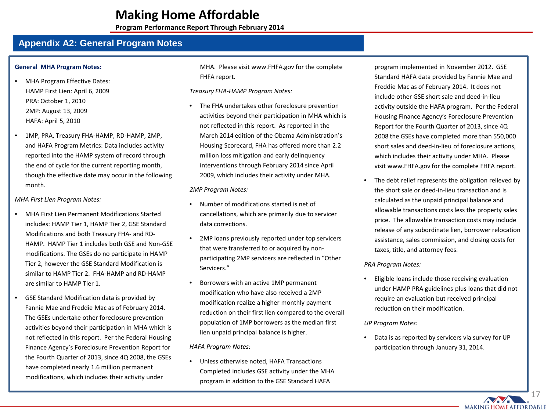**Program Performance Report Through February 2014**

## **Appendix A2: General Program Notes**

#### **General MHA Program Notes:**

- MHA Program Effective Dates: HAMP First Lien: April 6, 2009 PRA: October 1, 2010 2MP: August 13, 2009 HAFA: April 5, 2010
- 1MP, PRA, Treasury FHA-HAMP, RD-HAMP, 2MP, and HAFA Program Metrics: Data includes activity reported into the HAMP system of record through the end of cycle for the current reporting month, though the effective date may occur in the following month.

#### *MHA First Lien Program Notes:*

- MHA First Lien Permanent Modifications Started includes: HAMP Tier 1, HAMP Tier 2, GSE Standard Modifications and both Treasury FHA- and RD-HAMP. HAMP Tier 1 includes both GSE and Non-GSE modifications. The GSEs do no participate in HAMP Tier 2, however the GSE Standard Modification is similar to HAMP Tier 2. FHA-HAMP and RD-HAMP are similar to HAMP Tier 1.
- GSE Standard Modification data is provided by Fannie Mae and Freddie Mac as of February 2014. The GSEs undertake other foreclosure prevention activities beyond their participation in MHA which is not reflected in this report. Per the Federal Housing Finance Agency's Foreclosure Prevention Report for the Fourth Quarter of 2013, since 4Q 2008, the GSEs have completed nearly 1.6 million permanent modifications, which includes their activity under

MHA. Please visit www.FHFA.gov for the complete FHFA report.

*Treasury FHA-HAMP Program Notes:* 

The FHA undertakes other foreclosure prevention activities beyond their participation in MHA which is not reflected in this report. As reported in the March 2014 edition of the Obama Administration's Housing Scorecard, FHA has offered more than 2.2 million loss mitigation and early delinquency interventions through February 2014 since April 2009, which includes their activity under MHA.

#### *2MP Program Notes:*

- Number of modifications started is net of cancellations, which are primarily due to servicer data corrections.
- 2MP loans previously reported under top servicers that were transferred to or acquired by nonparticipating 2MP servicers are reflected in "Other Servicers."
- Borrowers with an active 1MP permanent modification who have also received a 2MP modification realize a higher monthly payment reduction on their first lien compared to the overall population of 1MP borrowers as the median first lien unpaid principal balance is higher.

*HAFA Program Notes:*

• Unless otherwise noted, HAFA Transactions Completed includes GSE activity under the MHA program in addition to the GSE Standard HAFA

program implemented in November 2012. GSE Standard HAFA data provided by Fannie Mae and Freddie Mac as of February 2014. It does not include other GSE short sale and deed-in-lieu activity outside the HAFA program. Per the Federal Housing Finance Agency's Foreclosure Prevention Report for the Fourth Quarter of 2013, since 4Q 2008 the GSEs have completed more than 550,000 short sales and deed-in-lieu of foreclosure actions, which includes their activity under MHA. Please visit www.FHFA.gov for the complete FHFA report.

The debt relief represents the obligation relieved by the short sale or deed-in-lieu transaction and is calculated as the unpaid principal balance and allowable transactions costs less the property sales price. The allowable transaction costs may include release of any subordinate lien, borrower relocation assistance, sales commission, and closing costs for taxes, title, and attorney fees.

#### *PRA Program Notes:*

• Eligible loans include those receiving evaluation under HAMP PRA guidelines plus loans that did not require an evaluation but received principal reduction on their modification.

#### *UP Program Notes:*

• Data is as reported by servicers via survey for UP participation through January 31, 2014.

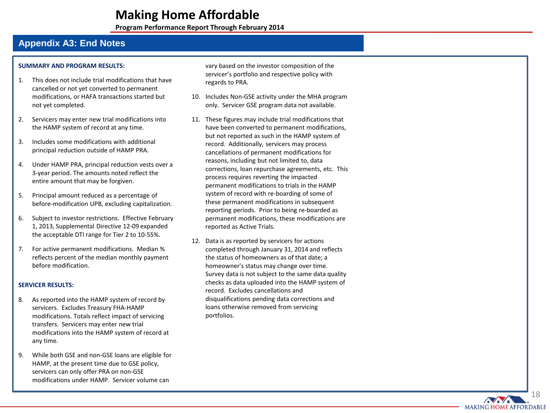**Program Performance Report Through February 2014**

## **Appendix A3: End Notes**

#### **SUMMARY AND PROGRAM RESULTS :**

- 1. This does not include trial modifications that have cancelled or not yet converted to permanent modifications, or HAFA transactions started but not yet completed .
- 2. Servicers may enter new trial modifications into the HAMP system of record at any time.
- 3. Includes some modifications with additional principal reduction outside of HAMP PRA.
- 4. Under HAMP PRA, principal reduction vests over a 3-year period. The amounts noted reflect the entire amount that may be forgiven.
- 5. Principal amount reduced as a percentage of before -modification UPB, excluding capitalization.
- 6. Subject to investor restrictions. Effective February 1, 2013, Supplemental Directive 12 -09 expanded the acceptable DTI range for Tier 2 to 10 -55%.
- 7. For active permanent modifications. Median % reflects percent of the median monthly payment before modification .

#### **SERVICER RESULTS:**

- 8. As reported into the HAMP system of record by servicers. Excludes Treasury FHA -HAMP modifications. Totals reflect impact of servicing transfers. Servicers may enter new trial modifications into the HAMP system of record at any time.
- 9. While both GSE and non -GSE loans are eligible for HAMP, at the present time due to GSE policy, servicers can only offer PRA on non -GSE modifications under HAMP. Servicer volume can

vary based on the investor composition of the servicer's portfolio and respective policy with regards to PRA.

- 10. Includes Non -GSE activity under the MHA program only. Servicer GSE program data not available .
- 11. These figures may include trial modifications that have been converted to permanent modifications, but not reported as such in the HAMP system of record. Additionally, servicers may process cancellations of permanent modifications for reasons, including but not limited to, data corrections, loan repurchase agreements, etc. This process requires reverting the impacted permanent modifications to trials in the HAMP system of record with re -boarding of some of these permanent modifications in subsequent reporting periods. Prior to being re -boarded as permanent modifications, these modifications are reported as Active Trials.
- 12. Data is as reported by servicers for actions completed through January 31, 2014 and reflects the status of homeowners as of that date; a homeowner's status may change over time. Survey data is not subject to the same data quality checks as data uploaded into the HAMP system of record. Excludes cancellations and disqualifications pending data corrections and loans otherwise removed from servicing portfolios.

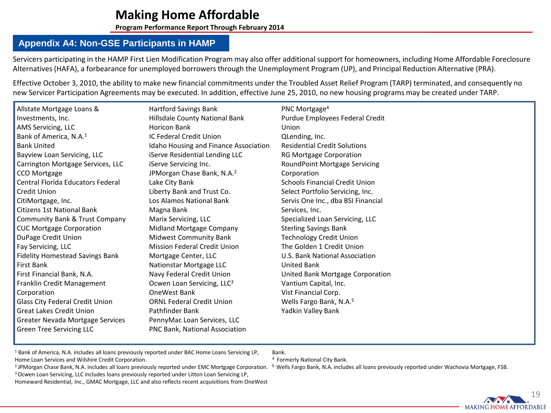**Program Performance Report Through February 2014**

## **Appendix A4: Non-GSE Participants in HAMP**

Servicers participating in the HAMP First Lien Modification Program may also offer additional support for homeowners, including Home Affordable Foreclosure Alternatives (HAFA), a forbearance for unemployed borrowers through the Unemployment Program (UP), and Principal Reduction Alternative (PRA).

Effective October 3, 2010, the ability to make new financial commitments under the Troubled Asset Relief Program (TARP) terminated, and consequently no new Servicer Participation Agreements may be executed. In addition, effective June 25, 2010, no new housing programs may be created under TARP.

| Allstate Mortgage Loans &              | <b>Hartford Savings Bank</b>           | PNC Mortgage <sup>4</sup>             |
|----------------------------------------|----------------------------------------|---------------------------------------|
| Investments, Inc.                      | Hillsdale County National Bank         | Purdue Employees Federal Credit       |
| AMS Servicing, LLC                     | <b>Horicon Bank</b>                    | Union                                 |
| Bank of America, N.A. <sup>1</sup>     | IC Federal Credit Union                | QLending, Inc.                        |
| <b>Bank United</b>                     | Idaho Housing and Finance Association  | <b>Residential Credit Solutions</b>   |
| Bayview Loan Servicing, LLC            | iServe Residential Lending LLC         | RG Mortgage Corporation               |
| Carrington Mortgage Services, LLC      | iServe Servicing Inc.                  | RoundPoint Mortgage Servicing         |
| CCO Mortgage                           | JPMorgan Chase Bank, N.A. <sup>2</sup> | Corporation                           |
| Central Florida Educators Federal      | Lake City Bank                         | <b>Schools Financial Credit Union</b> |
| Credit Union                           | Liberty Bank and Trust Co.             | Select Portfolio Servicing, Inc.      |
| CitiMortgage, Inc.                     | Los Alamos National Bank               | Servis One Inc., dba BSI Financial    |
| <b>Citizens 1st National Bank</b>      | Magna Bank                             | Services, Inc.                        |
| Community Bank & Trust Company         | Marix Servicing, LLC                   | Specialized Loan Servicing, LLC       |
| <b>CUC Mortgage Corporation</b>        | Midland Mortgage Company               | <b>Sterling Savings Bank</b>          |
| DuPage Credit Union                    | Midwest Community Bank                 | <b>Technology Credit Union</b>        |
| Fay Servicing, LLC                     | <b>Mission Federal Credit Union</b>    | The Golden 1 Credit Union             |
| Fidelity Homestead Savings Bank        | Mortgage Center, LLC                   | U.S. Bank National Association        |
| First Bank                             | Nationstar Mortgage LLC                | <b>United Bank</b>                    |
| First Financial Bank, N.A.             | Navy Federal Credit Union              | United Bank Mortgage Corporation      |
| Franklin Credit Management             | Ocwen Loan Servicing, LLC <sup>3</sup> | Vantium Capital, Inc.                 |
| Corporation                            | OneWest Bank                           | Vist Financial Corp.                  |
| <b>Glass City Federal Credit Union</b> | <b>ORNL Federal Credit Union</b>       | Wells Fargo Bank, N.A. <sup>5</sup>   |
| Great Lakes Credit Union               | Pathfinder Bank                        | Yadkin Valley Bank                    |
| Greater Nevada Mortgage Services       | PennyMac Loan Services, LLC            |                                       |
| Green Tree Servicing LLC               | PNC Bank, National Association         |                                       |

<sup>1</sup> Bank of America, N.A. includes all loans previously reported under BAC Home Loans Servicing LP, Home Loan Services and Wilshire Credit Corporation.

Bank. <sup>4</sup> Formerly National City Bank.

<sup>2</sup> JPMorgan Chase Bank, N.A. includes all loans previously reported under EMC Mortgage Corporation. <sup>5</sup> Wells Fargo Bank, N.A. includes all loans previously reported under Wachovia Mortgage, FSB.<br><sup>3</sup> Ocwen Loan Servicing,

Homeward Residential, Inc., GMAC Mortgage, LLC and also reflects recent acquisitions from OneWest